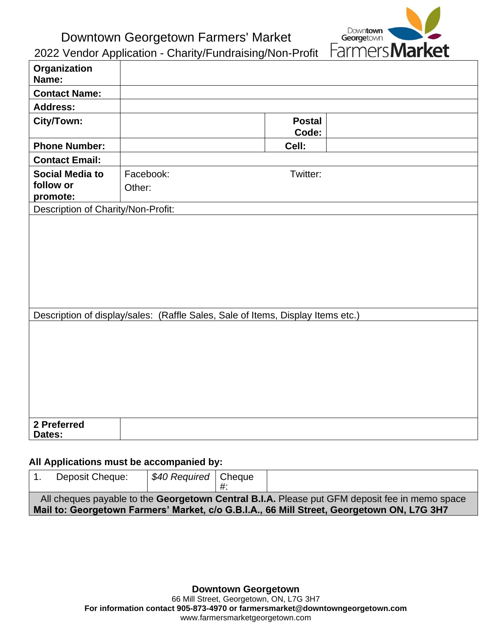Downtown Georgetown Farmers' Market



2022 Vendor Application - Charity/Fundraising/Non-Profit

| Organization<br>Name:                                                           |           |                        |  |  |  |  |
|---------------------------------------------------------------------------------|-----------|------------------------|--|--|--|--|
| <b>Contact Name:</b>                                                            |           |                        |  |  |  |  |
| <b>Address:</b>                                                                 |           |                        |  |  |  |  |
| City/Town:                                                                      |           | <b>Postal</b><br>Code: |  |  |  |  |
| <b>Phone Number:</b>                                                            |           | Cell:                  |  |  |  |  |
| <b>Contact Email:</b>                                                           |           |                        |  |  |  |  |
| <b>Social Media to</b>                                                          | Facebook: | Twitter:               |  |  |  |  |
| follow or<br>promote:                                                           | Other:    |                        |  |  |  |  |
| Description of Charity/Non-Profit:                                              |           |                        |  |  |  |  |
|                                                                                 |           |                        |  |  |  |  |
| Description of display/sales: (Raffle Sales, Sale of Items, Display Items etc.) |           |                        |  |  |  |  |
|                                                                                 |           |                        |  |  |  |  |
| 2 Preferred<br>Dates:                                                           |           |                        |  |  |  |  |

## **All Applications must be accompanied by:**

|                                                                                                                                                                                            | Deposit Cheque: | \$40 Required   Cheque |  |  |  |
|--------------------------------------------------------------------------------------------------------------------------------------------------------------------------------------------|-----------------|------------------------|--|--|--|
| All cheques payable to the Georgetown Central B.I.A. Please put GFM deposit fee in memo space<br>Mail to: Georgetown Farmers' Market, c/o G.B.I.A., 66 Mill Street, Georgetown ON, L7G 3H7 |                 |                        |  |  |  |